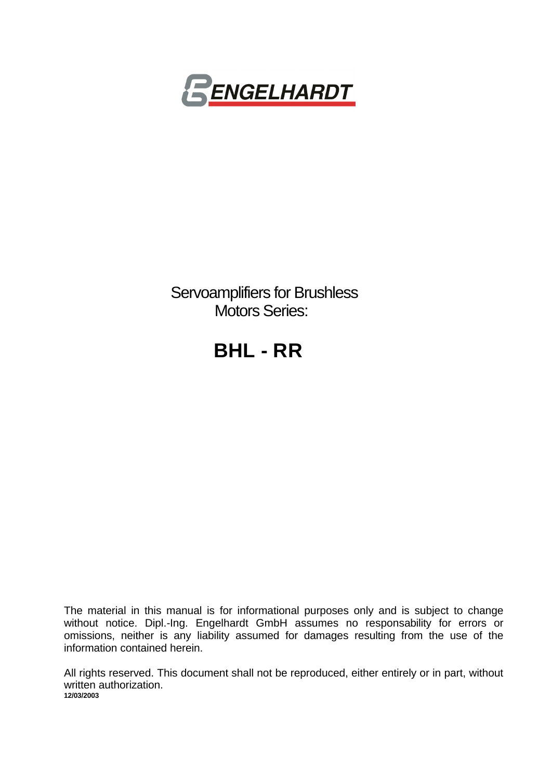

 Servoamplifiers for Brushless Motors Series:

# **BHL - RR**

The material in this manual is for informational purposes only and is subject to change without notice. Dipl.-Ing. Engelhardt GmbH assumes no responsability for errors or omissions, neither is any liability assumed for damages resulting from the use of the information contained herein.

All rights reserved. This document shall not be reproduced, either entirely or in part, without written authorization. **12/03/2003**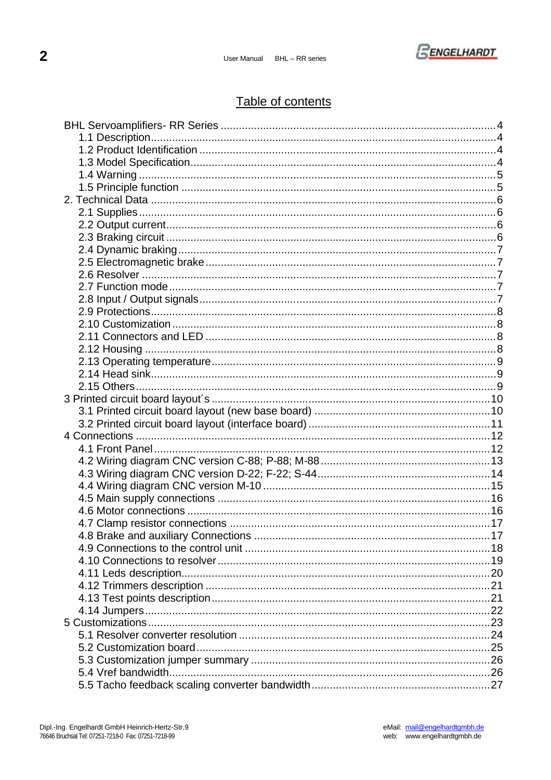

## Table of contents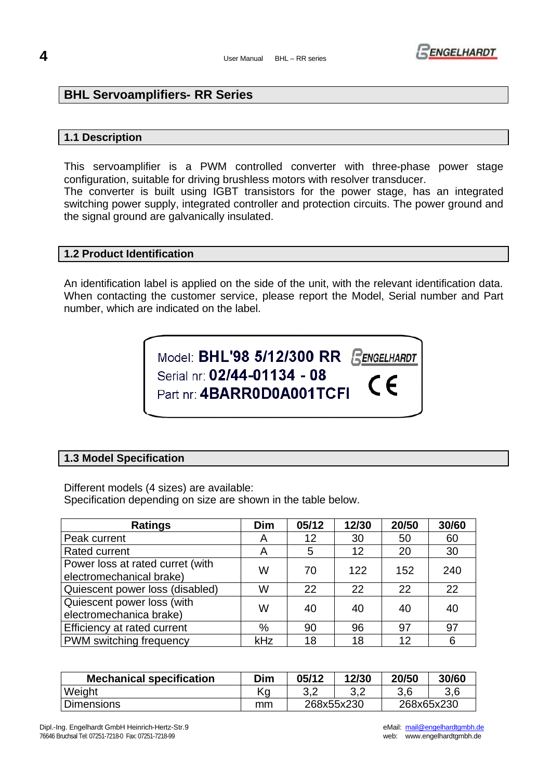

## **BHL Servoamplifiers- RR Series**

## **1.1 Description**

This servoamplifier is a PWM controlled converter with three-phase power stage configuration, suitable for driving brushless motors with resolver transducer.

The converter is built using IGBT transistors for the power stage, has an integrated switching power supply, integrated controller and protection circuits. The power ground and the signal ground are galvanically insulated.

## **1.2 Product Identification**

An identification label is applied on the side of the unit, with the relevant identification data. When contacting the customer service, please report the Model, Serial number and Part number, which are indicated on the label.

> Model: BHL'98 5/12/300 RR RENGELHARDT Serial nr: 02/44-01134 - 08  $\epsilon$ Part nr: 4BARR0D0A001TCFI

## **1.3 Model Specification**

Different models (4 sizes) are available: Specification depending on size are shown in the table below.

| <b>Ratings</b>                                               | <b>Dim</b> | 05/12 | 12/30 | 20/50 | 30/60 |
|--------------------------------------------------------------|------------|-------|-------|-------|-------|
| Peak current                                                 | A          | 12    | 30    | 50    | 60    |
| Rated current                                                | Α          | 5     | 12    | 20    | 30    |
| Power loss at rated curret (with<br>electromechanical brake) | W          | 70    | 122   | 152   | 240   |
| Quiescent power loss (disabled)                              | W          | 22    | 22    | 22    | 22    |
| Quiescent power loss (with<br>electromechanica brake)        | W          | 40    | 40    | 40    | 40    |
| Efficiency at rated current                                  | %          | 90    | 96    | 97    | 97    |
| PWM switching frequency                                      | kHz        | 18    | 18    | 12    | 6     |

| <b>Mechanical specification</b> | Dim | 05/12      | 12/30       | 20/50      | 30/60 |
|---------------------------------|-----|------------|-------------|------------|-------|
| Weight                          | Κq  | J.Z        | ົດ ຕ<br>J.Z |            | 3,6   |
| <b>Dimensions</b>               | mm  | 268x55x230 |             | 268x65x230 |       |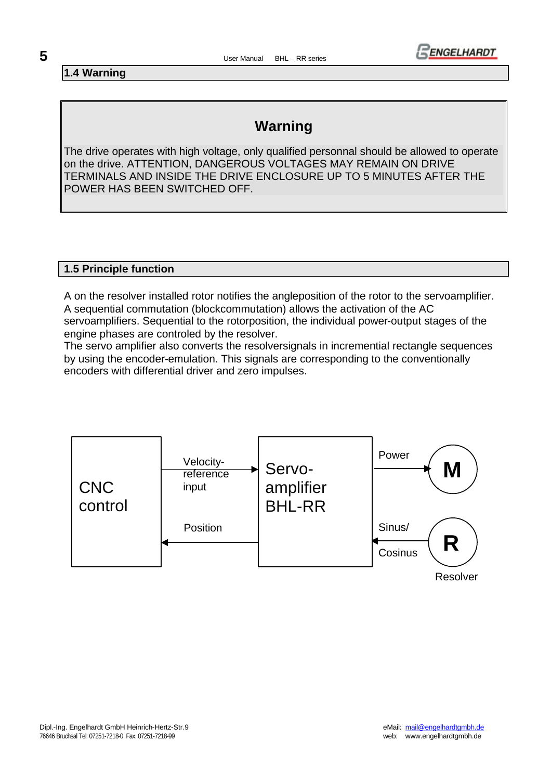

**1.4 Warning**

## **Warning**

The drive operates with high voltage, only qualified personnal should be allowed to operate on the drive. ATTENTION, DANGEROUS VOLTAGES MAY REMAIN ON DRIVE TERMINALS AND INSIDE THE DRIVE ENCLOSURE UP TO 5 MINUTES AFTER THE POWER HAS BEEN SWITCHED OFF.

## **1.5 Principle function**

A on the resolver installed rotor notifies the angleposition of the rotor to the servoamplifier. A sequential commutation (blockcommutation) allows the activation of the AC servoamplifiers. Sequential to the rotorposition, the individual power-output stages of the engine phases are controled by the resolver.

The servo amplifier also converts the resolversignals in incremential rectangle sequences by using the encoder-emulation. This signals are corresponding to the conventionally encoders with differential driver and zero impulses.

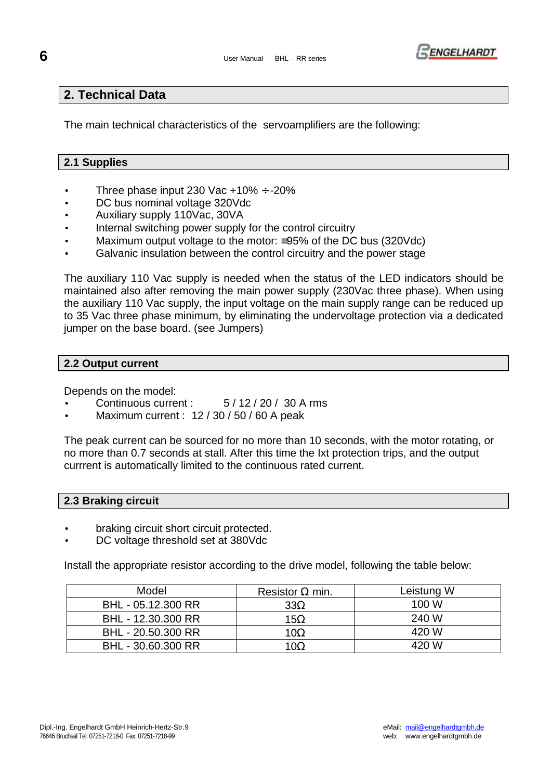

## **2. Technical Data**

The main technical characteristics of the servoamplifiers are the following:

## **2.1 Supplies**

- Three phase input 230 Vac  $+10\% \div -20\%$
- DC bus nominal voltage 320Vdc
- Auxiliary supply 110Vac, 30VA
- Internal switching power supply for the control circuitry
- Maximum output voltage to the motor: ≡95% of the DC bus (320Vdc)
- Galvanic insulation between the control circuitry and the power stage

The auxiliary 110 Vac supply is needed when the status of the LED indicators should be maintained also after removing the main power supply (230Vac three phase). When using the auxiliary 110 Vac supply, the input voltage on the main supply range can be reduced up to 35 Vac three phase minimum, by eliminating the undervoltage protection via a dedicated jumper on the base board. (see Jumpers)

#### **2.2 Output current**

Depends on the model:

- Continuous current : 5 / 12 / 20 / 30 A rms
- Maximum current : 12 / 30 / 50 / 60 A peak

The peak current can be sourced for no more than 10 seconds, with the motor rotating, or no more than 0.7 seconds at stall. After this time the Ixt protection trips, and the output currrent is automatically limited to the continuous rated current.

## **2.3 Braking circuit**

- braking circuit short circuit protected.
- DC voltage threshold set at 380Vdc

Install the appropriate resistor according to the drive model, following the table below:

| Model              | Resistor $\Omega$ min. | Leistung W |
|--------------------|------------------------|------------|
| BHL - 05.12.300 RR | $33\Omega$             | 100 W      |
| BHL - 12.30.300 RR | 15 $\Omega$            | 240 W      |
| BHL - 20.50.300 RR | 10Ω                    | 420 W      |
| BHL - 30.60.300 RR | 10Ω                    | 420 W      |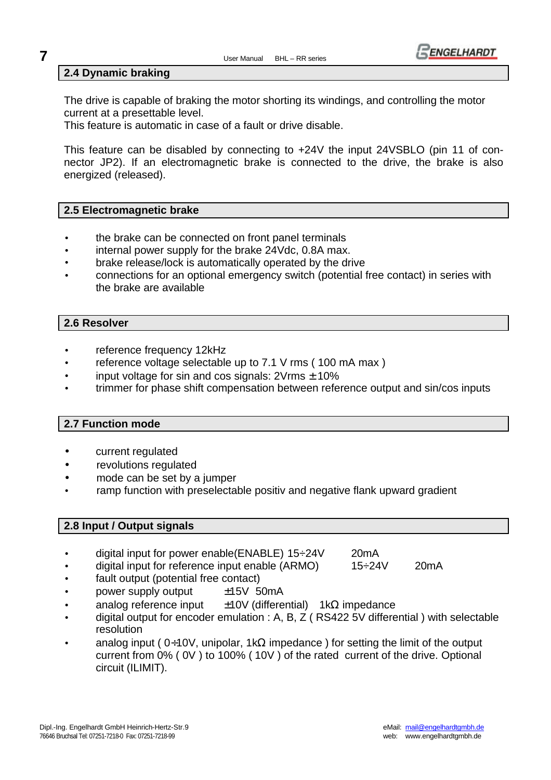## **7** User Manual BHL – RR series



## **2.4 Dynamic braking**

The drive is capable of braking the motor shorting its windings, and controlling the motor current at a presettable level.

This feature is automatic in case of a fault or drive disable.

This feature can be disabled by connecting to +24V the input 24VSBLO (pin 11 of connector JP2). If an electromagnetic brake is connected to the drive, the brake is also energized (released).

## **2.5 Electromagnetic brake**

- the brake can be connected on front panel terminals
- internal power supply for the brake 24Vdc, 0.8A max.
- brake release/lock is automatically operated by the drive
- connections for an optional emergency switch (potential free contact) in series with the brake are available

## **2.6 Resolver**

- reference frequency 12kHz
- reference voltage selectable up to  $7.1 \text{ V}$  rms (100 mA max)
- input voltage for sin and cos signals:  $2V$ rms  $\pm$  10%
- trimmer for phase shift compensation between reference output and sin/cos inputs

## **2.7 Function mode**

- current regulated
- revolutions regulated
- mode can be set by a jumper
- ramp function with preselectable positiv and negative flank upward gradient

## **2.8 Input / Output signals**

- digital input for power enable(ENABLE) 15÷24V 20mA
	- digital input for reference input enable (ARMO) 15÷24V 20mA
- fault output (potential free contact)
- power supply output  $±15V$  50mA
- analog reference input  $±10V$  (differential) 1kΩ impedance
- digital output for encoder emulation : A, B, Z ( RS422 5V differential ) with selectable resolution
- analog input (  $0+10V$ , unipolar, 1kΩ impedance ) for setting the limit of the output current from 0% ( 0V ) to 100% ( 10V ) of the rated current of the drive. Optional circuit (ILIMIT).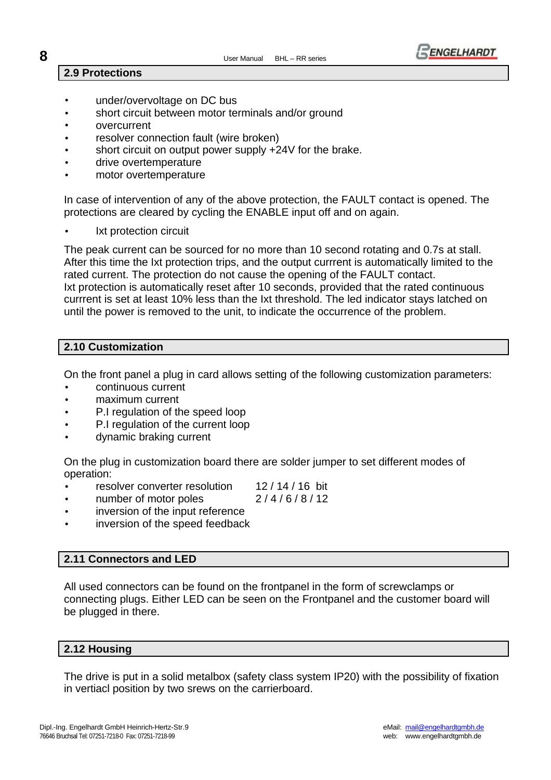

## **2.9 Protections**

- under/overvoltage on DC bus
- short circuit between motor terminals and/or ground
- overcurrent
- resolver connection fault (wire broken)
- short circuit on output power supply +24V for the brake.
- drive overtemperature
- motor overtemperature

In case of intervention of any of the above protection, the FAULT contact is opened. The protections are cleared by cycling the ENABLE input off and on again.

Ixt protection circuit

The peak current can be sourced for no more than 10 second rotating and 0.7s at stall. After this time the Ixt protection trips, and the output currrent is automatically limited to the rated current. The protection do not cause the opening of the FAULT contact. Ixt protection is automatically reset after 10 seconds, provided that the rated continuous currrent is set at least 10% less than the Ixt threshold. The led indicator stays latched on until the power is removed to the unit, to indicate the occurrence of the problem.

## **2.10 Customization**

On the front panel a plug in card allows setting of the following customization parameters:

- continuous current
- maximum current
- P.I regulation of the speed loop
- P.I regulation of the current loop
- dynamic braking current

On the plug in customization board there are solder jumper to set different modes of operation:

- resolver converter resolution 12/14/16 bit
- number of motor poles 2/4/6/8/12

- inversion of the input reference
- inversion of the speed feedback

## **2.11 Connectors and LED**

All used connectors can be found on the frontpanel in the form of screwclamps or connecting plugs. Either LED can be seen on the Frontpanel and the customer board will be plugged in there.

## **2.12 Housing**

The drive is put in a solid metalbox (safety class system IP20) with the possibility of fixation in vertiacl position by two srews on the carrierboard.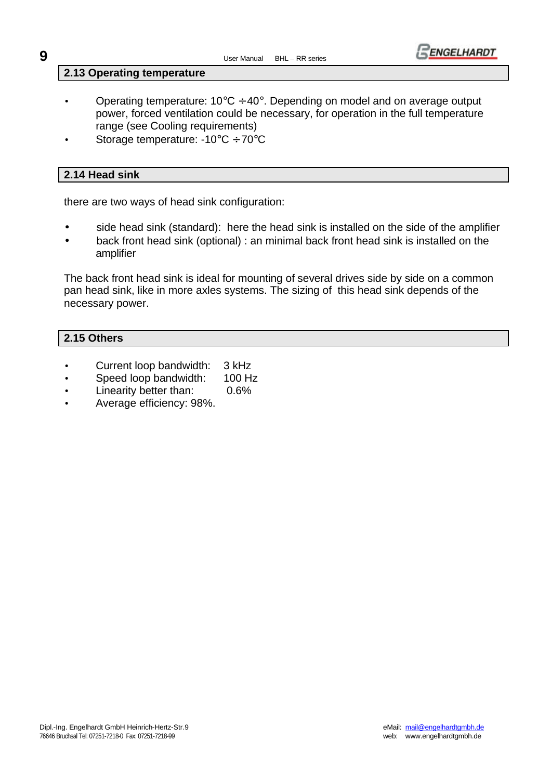

#### **2.13 Operating temperature**

- Operating temperature:  $10^{\circ}C \div 40^{\circ}$ . Depending on model and on average output power, forced ventilation could be necessary, for operation in the full temperature range (see Cooling requirements)
- Storage temperature: -10°C ÷ 70°C

## **2.14 Head sink**

there are two ways of head sink configuration:

- side head sink (standard): here the head sink is installed on the side of the amplifier
- back front head sink (optional) : an minimal back front head sink is installed on the amplifier

The back front head sink is ideal for mounting of several drives side by side on a common pan head sink, like in more axles systems. The sizing of this head sink depends of the necessary power.

## **2.15 Others**

- Current loop bandwidth: 3 kHz
- Speed loop bandwidth: 100 Hz
- Linearity better than: 0.6%
- Average efficiency: 98%.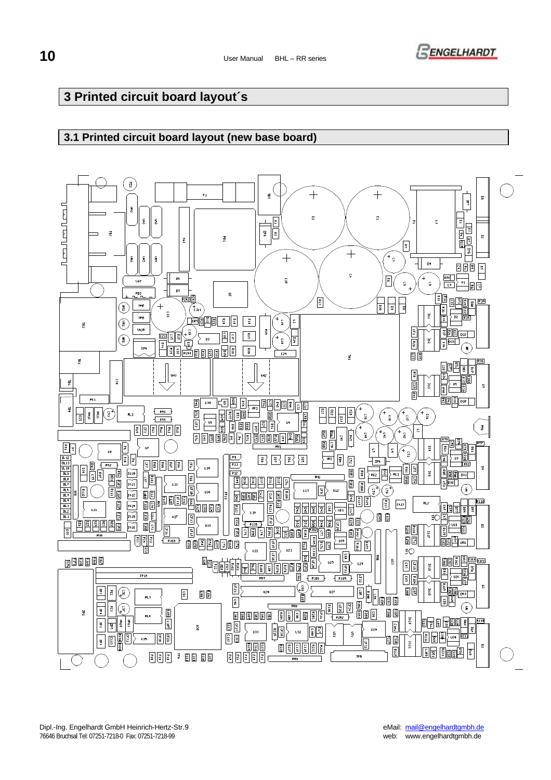

## **3 Printed circuit board layout´s**

## **3.1 Printed circuit board layout (new base board)**

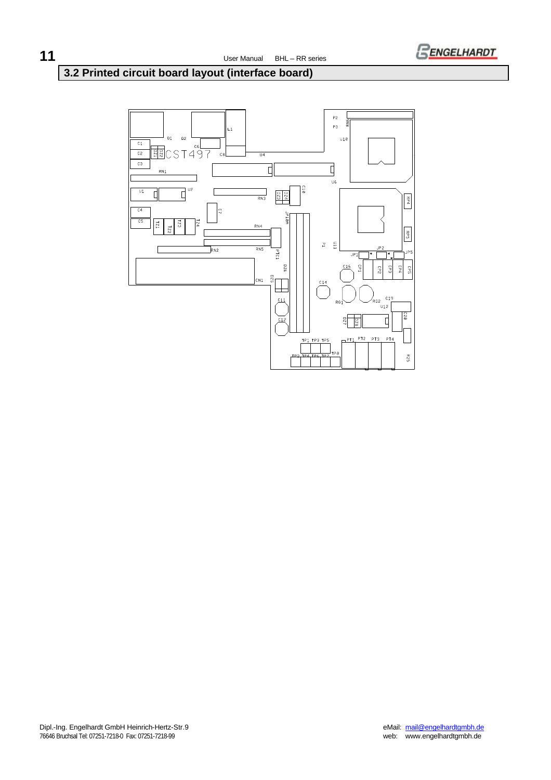

## **3.2 Printed circuit board layout (interface board)**

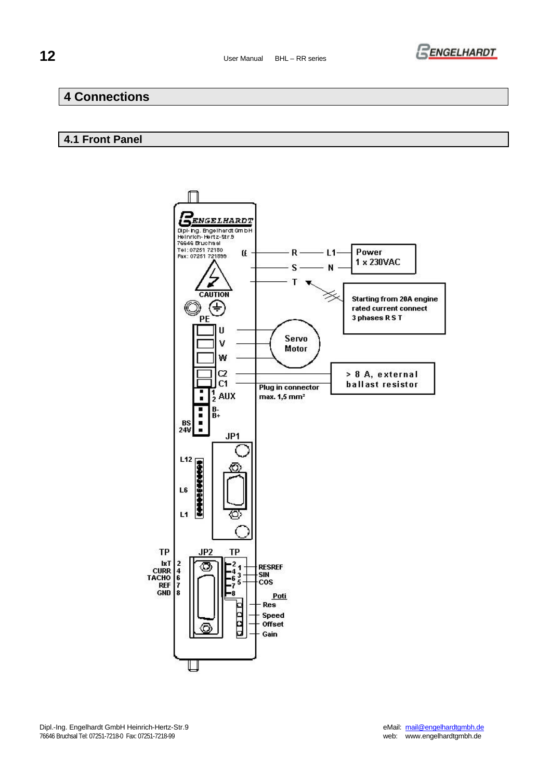

## **4 Connections**

## **4.1 Front Panel**

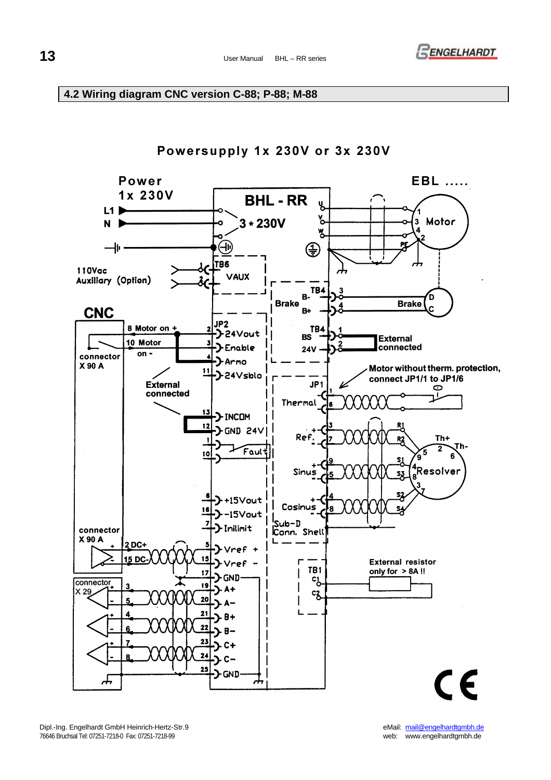

## **4.2 Wiring diagram CNC version C-88; P-88; M-88**

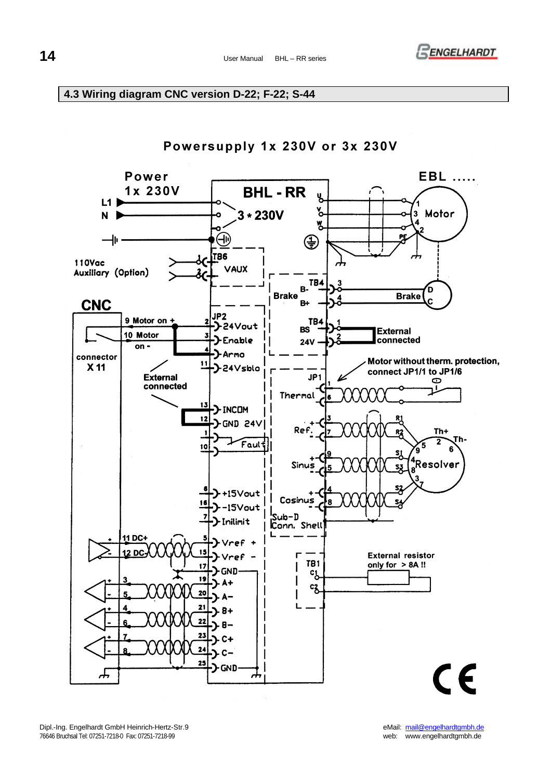

## **4.3 Wiring diagram CNC version D-22; F-22; S-44**

## Powersupply 1x 230V or 3x 230V

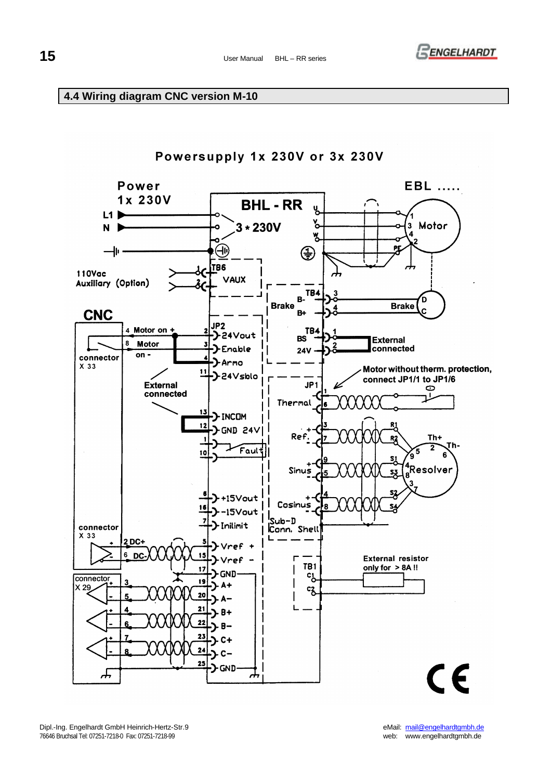## **15** User Manual BHL – RR series



## **4.4 Wiring diagram CNC version M-10**



Dipl.-Ing. Engelhardt GmbH Heinrich-Hertz-Str.9 eMail: mail@engelhardtgmbh.de<br>1999 - web: www.engelhardtgmbh.de = 1999 - 1999 - 1999 - 1999 - 1999 - 1999 - 1999 - 1999 - 1999 - 1999 - 199 76646 Bruchsal Tel: 07251-7218-0 Fax: 07251-7218-99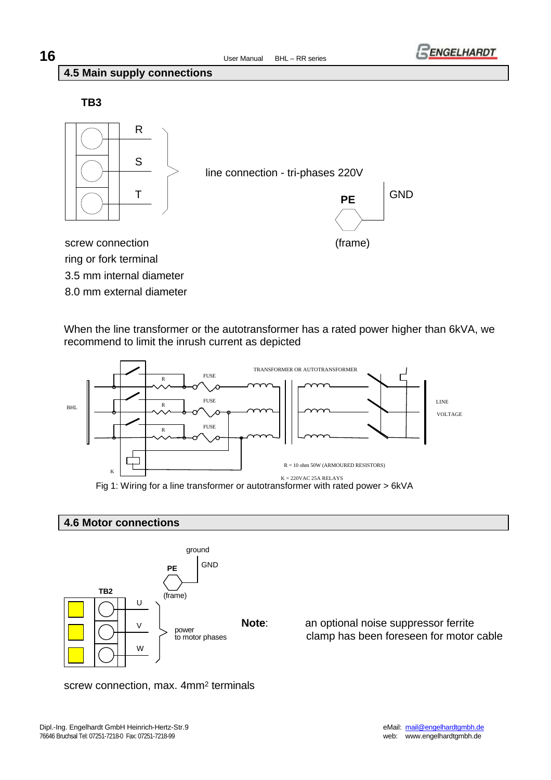

## **4.5 Main supply connections**

**TB3**



line connection - tri-phases 220V



screw connection (frame) 3.5 mm internal diameter ring or fork terminal 8.0 mm external diameter

When the line transformer or the autotransformer has a rated power higher than 6kVA, we recommend to limit the inrush current as depicted



Fig 1: Wiring for a line transformer or autotransformer with rated power > 6kVA

## **4.6 Motor connections**



**Note**: an optional noise suppressor ferrite clamp has been foreseen for motor cable

screw connection, max. 4mm<sup>2</sup> terminals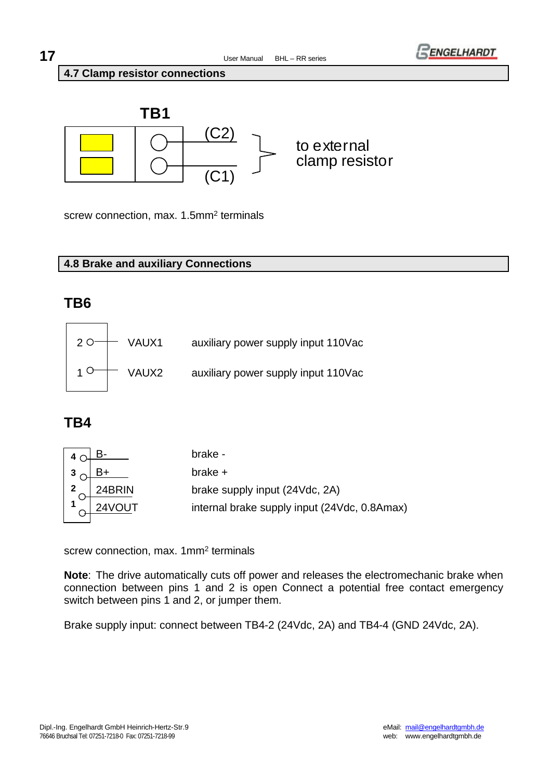

#### **4.7 Clamp resistor connections**



screw connection, max. 1.5mm<sup>2</sup> terminals

## **4.8 Brake and auxiliary Connections**

## **TB6**



## **TB4**

|        | brake -                                      |
|--------|----------------------------------------------|
|        | $brake +$                                    |
| 24BRIN | brake supply input (24Vdc, 2A)               |
| 24VOUT | internal brake supply input (24Vdc, 0.8Amax) |
|        |                                              |

screw connection, max. 1mm2 terminals

**Note**: The drive automatically cuts off power and releases the electromechanic brake when connection between pins 1 and 2 is open Connect a potential free contact emergency switch between pins 1 and 2, or jumper them.

Brake supply input: connect between TB4-2 (24Vdc, 2A) and TB4-4 (GND 24Vdc, 2A).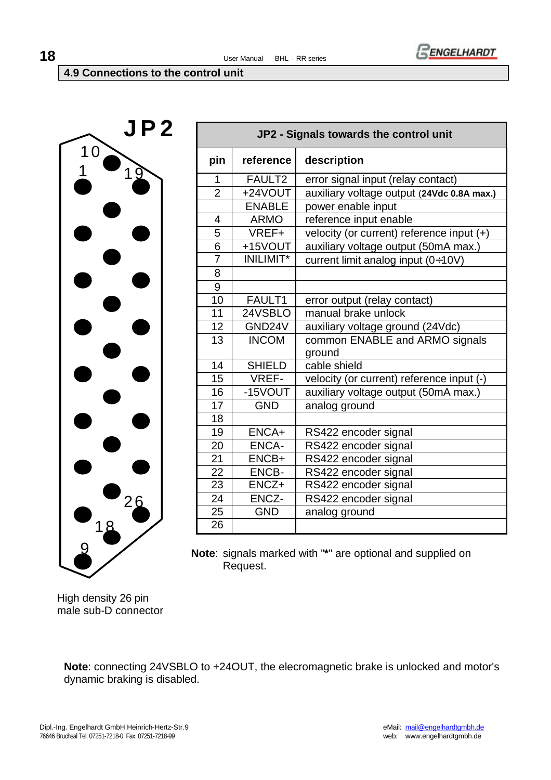

**4.9 Connections to the control unit**



|                    | JP2 - Signals towards the control unit |                                             |  |  |  |  |  |
|--------------------|----------------------------------------|---------------------------------------------|--|--|--|--|--|
| pin                | reference                              | description                                 |  |  |  |  |  |
| 1                  | FAULT <sub>2</sub>                     | error signal input (relay contact)          |  |  |  |  |  |
| $\overline{2}$     | +24VOUT                                | auxiliary voltage output (24Vdc 0.8A max.)  |  |  |  |  |  |
|                    | <b>ENABLE</b>                          | power enable input                          |  |  |  |  |  |
| 4                  | <b>ARMO</b>                            | reference input enable                      |  |  |  |  |  |
| 5                  | VREF+                                  | velocity (or current) reference input $(+)$ |  |  |  |  |  |
| 6                  | +15VOUT                                | auxiliary voltage output (50mA max.)        |  |  |  |  |  |
| $\overline{7}$     | <b>INILIMIT*</b>                       | current limit analog input (0÷10V)          |  |  |  |  |  |
| 8                  |                                        |                                             |  |  |  |  |  |
| 9                  |                                        |                                             |  |  |  |  |  |
| 10                 | FAULT1                                 | error output (relay contact)                |  |  |  |  |  |
| 11                 | 24VSBLO                                | manual brake unlock                         |  |  |  |  |  |
| 12                 | GND24V                                 | auxiliary voltage ground (24Vdc)            |  |  |  |  |  |
| 13<br><b>INCOM</b> |                                        | common ENABLE and ARMO signals              |  |  |  |  |  |
|                    |                                        | ground                                      |  |  |  |  |  |
| 14                 | <b>SHIELD</b>                          | cable shield                                |  |  |  |  |  |
| 15                 | <b>VREF-</b>                           | velocity (or current) reference input (-)   |  |  |  |  |  |
| 16                 | $-15$ VOUT                             | auxiliary voltage output (50mA max.)        |  |  |  |  |  |
| 17                 | <b>GND</b>                             | analog ground                               |  |  |  |  |  |
| 18                 |                                        |                                             |  |  |  |  |  |
| 19                 | ENCA+                                  | RS422 encoder signal                        |  |  |  |  |  |
| 20                 | <b>ENCA-</b>                           | RS422 encoder signal                        |  |  |  |  |  |
| 21                 | ENCB+                                  | RS422 encoder signal                        |  |  |  |  |  |
| 22                 | ENCB-                                  | RS422 encoder signal                        |  |  |  |  |  |
| 23                 | ENCZ+                                  | RS422 encoder signal                        |  |  |  |  |  |
| 24                 | ENCZ-                                  | RS422 encoder signal                        |  |  |  |  |  |
| 25                 | <b>GND</b>                             | analog ground                               |  |  |  |  |  |
| 26                 |                                        |                                             |  |  |  |  |  |

**Note**: signals marked with "**\***" are optional and supplied on Request.

High density 26 pin male sub-D connector

**Note**: connecting 24VSBLO to +24OUT, the elecromagnetic brake is unlocked and motor's dynamic braking is disabled.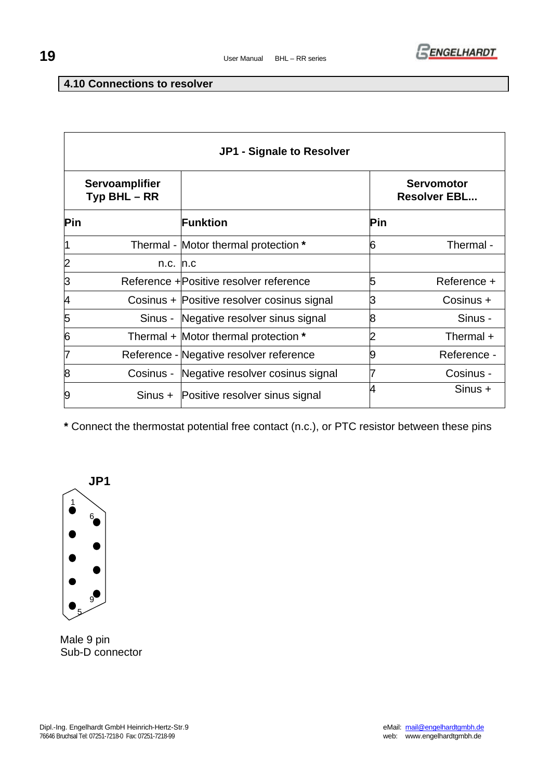

## **4.10 Connections to resolver**

|            | JP1 - Signale to Resolver                |                                            |     |                                          |  |  |
|------------|------------------------------------------|--------------------------------------------|-----|------------------------------------------|--|--|
|            | <b>Servoamplifier</b><br>$Type BHL - RR$ |                                            |     | <b>Servomotor</b><br><b>Resolver EBL</b> |  |  |
| <b>Pin</b> |                                          | Funktion                                   | Pin |                                          |  |  |
|            |                                          | Thermal - Motor thermal protection *       | 6   | Thermal -                                |  |  |
| 2          | $n.c.$ $n.c$                             |                                            |     |                                          |  |  |
| 3          |                                          | Reference + Positive resolver reference    | 5   | Reference +                              |  |  |
| 4          |                                          | Cosinus + Positive resolver cosinus signal | З   | Cosinus +                                |  |  |
| 5          |                                          | Sinus - Negative resolver sinus signal     | 8   | Sinus -                                  |  |  |
| 6          |                                          | Thermal + Motor thermal protection *       |     | Thermal +                                |  |  |
| 7          |                                          | Reference - Negative resolver reference    | 9   | Reference -                              |  |  |
| 8          |                                          | Cosinus - Negative resolver cosinus signal |     | Cosinus -                                |  |  |
| 9          |                                          | Sinus + Positive resolver sinus signal     | 4   | $Sinus +$                                |  |  |

**\*** Connect the thermostat potential free contact (n.c.), or PTC resistor between these pins



 Male 9 pin Sub-D connector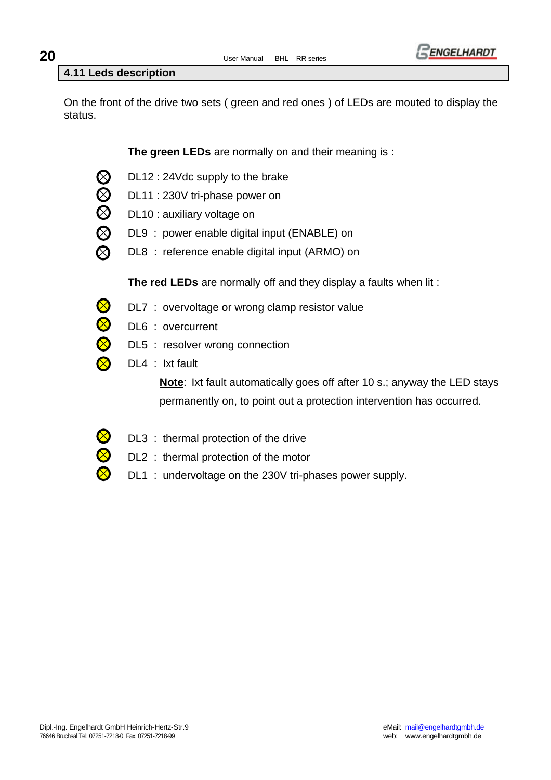

## **4.11 Leds description**

On the front of the drive two sets ( green and red ones ) of LEDs are mouted to display the status.

**The green LEDs** are normally on and their meaning is :

- $\bigotimes$ DL12 : 24Vdc supply to the brake
- $\bar{\otimes}$ DL11 : 230V tri-phase power on
	- DL10 : auxiliary voltage on
- $\overline{\bigotimes}$ DL9 : power enable digital input (ENABLE) on
	- DL8 : reference enable digital input (ARMO) on

**The red LEDs** are normally off and they display a faults when lit :

- $\bigotimes$ DL7 : overvoltage or wrong clamp resistor value
- $\otimes$ DL6 : overcurrent
- Q DL5 : resolver wrong connection
	- DL4 : Ixt fault

**Note**: Ixt fault automatically goes off after 10 s.; anyway the LED stays permanently on, to point out a protection intervention has occurred.

- DL3 : thermal protection of the drive
	- DL2 : thermal protection of the motor
	- DL1 : undervoltage on the 230V tri-phases power supply.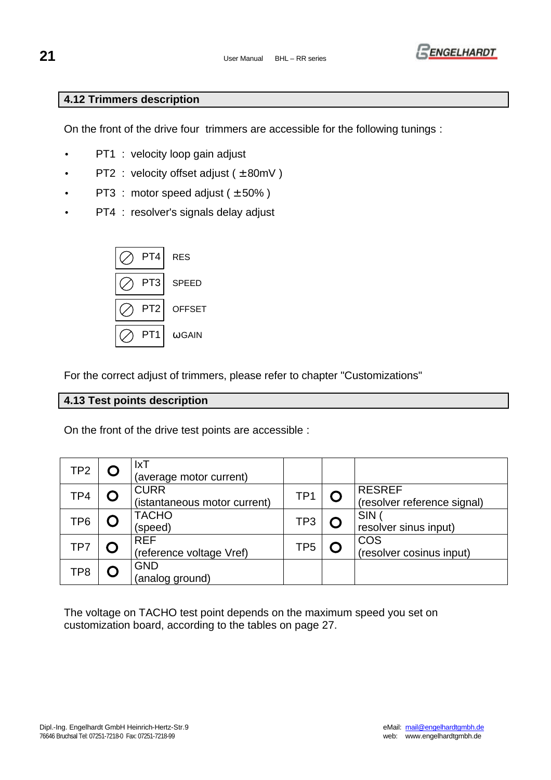

## **4.12 Trimmers description**

On the front of the drive four trimmers are accessible for the following tunings :

- PT1 : velocity loop gain adjust
- $PT2$ : velocity offset adjust ( $\pm$  80mV)
- PT3 : motor speed adjust  $(\pm 50\%)$
- PT4 : resolver's signals delay adjust



For the correct adjust of trimmers, please refer to chapter "Customizations"

## **4.13 Test points description**

On the front of the drive test points are accessible :

| TP <sub>2</sub> | $l$ xT<br>(average motor current)           |                 |                                              |
|-----------------|---------------------------------------------|-----------------|----------------------------------------------|
| TP4             | <b>CURR</b><br>(istantaneous motor current) | TP <sub>1</sub> | <b>RESREF</b><br>(resolver reference signal) |
| TP <sub>6</sub> | <b>TACHO</b><br>(speed)                     | TP3             | <b>SIN</b><br>resolver sinus input)          |
| TP7             | <b>REF</b><br>(reference voltage Vref)      | TP5             | <b>COS</b><br>(resolver cosinus input)       |
| TP8             | <b>GND</b><br>(analog ground)               |                 |                                              |

The voltage on TACHO test point depends on the maximum speed you set on customization board, according to the tables on page 27.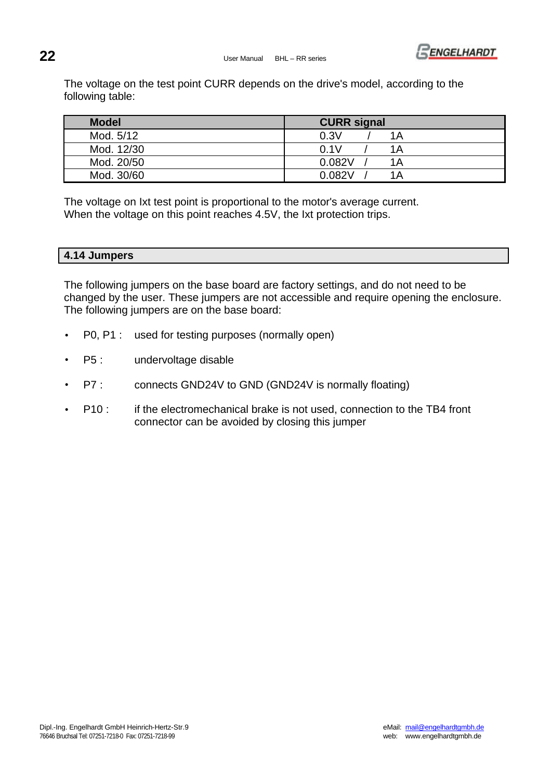

The voltage on the test point CURR depends on the drive's model, according to the following table:

| <b>Model</b> | <b>CURR signal</b> |
|--------------|--------------------|
| Mod. 5/12    | 0.3V<br>1Α         |
| Mod. 12/30   | 0.1V<br>1Α         |
| Mod. 20/50   | 0.082V<br>1Α       |
| Mod. 30/60   | 0.082V<br>1Α       |

The voltage on Ixt test point is proportional to the motor's average current. When the voltage on this point reaches 4.5V, the Ixt protection trips.

## **4.14 Jumpers**

The following jumpers on the base board are factory settings, and do not need to be changed by the user. These jumpers are not accessible and require opening the enclosure. The following jumpers are on the base board:

- P0, P1 : used for testing purposes (normally open)
- P5 : undervoltage disable
- P7 : connects GND24V to GND (GND24V is normally floating)
- P10 : if the electromechanical brake is not used, connection to the TB4 front connector can be avoided by closing this jumper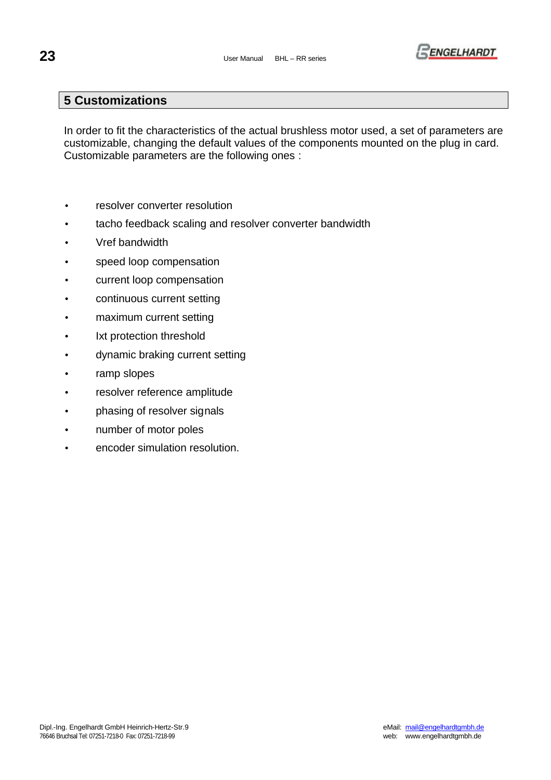

## **5 Customizations**

In order to fit the characteristics of the actual brushless motor used, a set of parameters are customizable, changing the default values of the components mounted on the plug in card. Customizable parameters are the following ones :

- resolver converter resolution
- tacho feedback scaling and resolver converter bandwidth
- Vref bandwidth
- speed loop compensation
- current loop compensation
- continuous current setting
- maximum current setting
- Ixt protection threshold
- dynamic braking current setting
- ramp slopes
- resolver reference amplitude
- phasing of resolver signals
- number of motor poles
- encoder simulation resolution.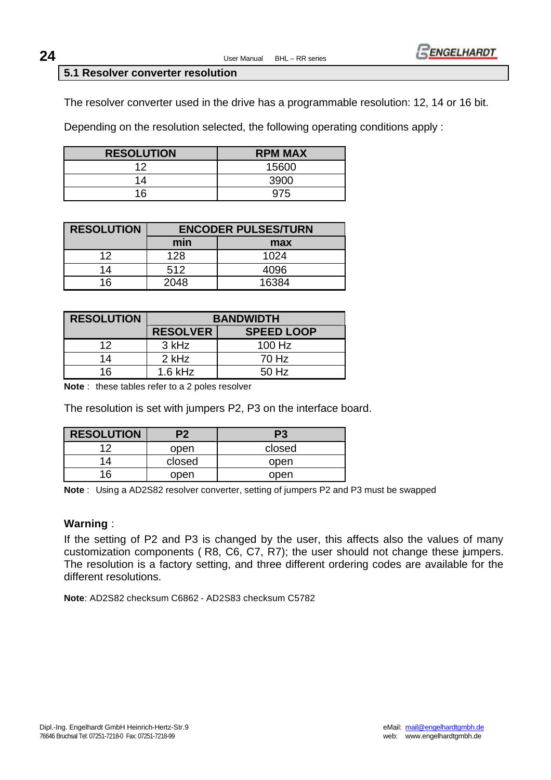

#### **5.1 Resolver converter resolution**

The resolver converter used in the drive has a programmable resolution: 12, 14 or 16 bit.

Depending on the resolution selected, the following operating conditions apply :

| <b>RESOLUTION</b> | <b>RPM MAX</b> |
|-------------------|----------------|
| ィク                | 15600          |
| 14                | 3900           |
| 16                | 975            |

| <b>RESOLUTION</b> |      | <b>ENCODER PULSES/TURN</b> |
|-------------------|------|----------------------------|
|                   | min  | max                        |
| 12                | 128  | 1024                       |
| 14                | 512  | 4096                       |
| 16                | 2048 | 16384                      |

| <b>RESOLUTION</b> | <b>BANDWIDTH</b> |                   |  |  |  |  |  |  |  |
|-------------------|------------------|-------------------|--|--|--|--|--|--|--|
|                   | <b>RESOLVER</b>  | <b>SPEED LOOP</b> |  |  |  |  |  |  |  |
| 12                | 3 kHz            | $100$ Hz          |  |  |  |  |  |  |  |
| 14                | 2 kHz            | 70 Hz             |  |  |  |  |  |  |  |
| 16                | $1.6$ kHz        | 50 Hz             |  |  |  |  |  |  |  |

**Note** : these tables refer to a 2 poles resolver

The resolution is set with jumpers P2, P3 on the interface board.

| <b>RESOLUTION</b> | P <sub>2</sub> | P <sub>3</sub> |
|-------------------|----------------|----------------|
| ィク                | open           | closed         |
|                   | closed         | open           |
| 16                | open           | open           |

**Note** : Using a AD2S82 resolver converter, setting of jumpers P2 and P3 must be swapped

#### **Warning** :

If the setting of P2 and P3 is changed by the user, this affects also the values of many customization components ( R8, C6, C7, R7); the user should not change these jumpers. The resolution is a factory setting, and three different ordering codes are available for the different resolutions.

**Note**: AD2S82 checksum C6862 - AD2S83 checksum C5782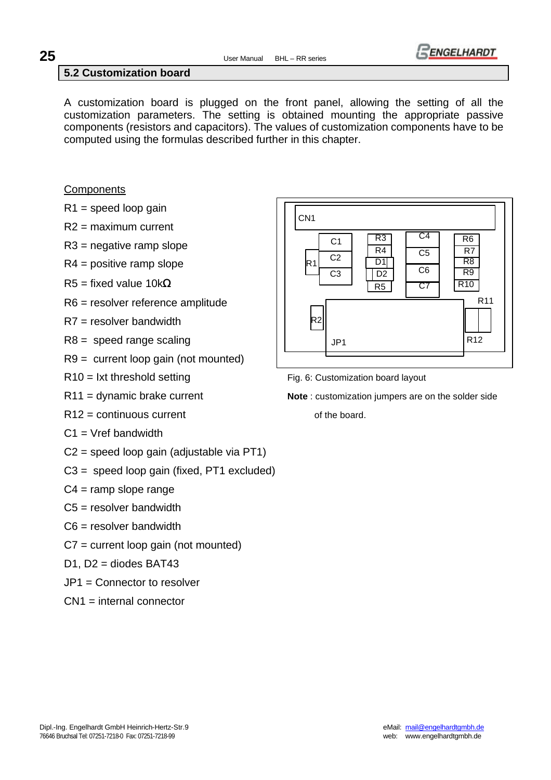

## **5.2 Customization board**

A customization board is plugged on the front panel, allowing the setting of all the customization parameters. The setting is obtained mounting the appropriate passive components (resistors and capacitors). The values of customization components have to be computed using the formulas described further in this chapter.

## **Components**

- $R1$  = speed loop gain
- R2 = maximum current
- R3 = negative ramp slope
- R4 = positive ramp slope
- R5 = fixed value 10k**W**
- R6 = resolver reference amplitude
- R7 = resolver bandwidth
- $R8$  = speed range scaling
- R9 = current loop gain (not mounted)
- 
- 
- $R12 =$  continuous current  $R12 =$  continuous current
- $C1 = Vref$  bandwidth
- C2 = speed loop gain (adjustable via PT1)
- C3 = speed loop gain (fixed, PT1 excluded)
- $C4 =$  ramp slope range
- $C5$  = resolver bandwidth
- C6 = resolver bandwidth
- C7 = current loop gain (not mounted)
- D1, D2 = diodes BAT43
- JP1 = Connector to resolver
- CN1 = internal connector



 $R10 = Ixt$  threshold setting Fig. 6: Customization board layout

R11 = dynamic brake current **Note** : customization jumpers are on the solder side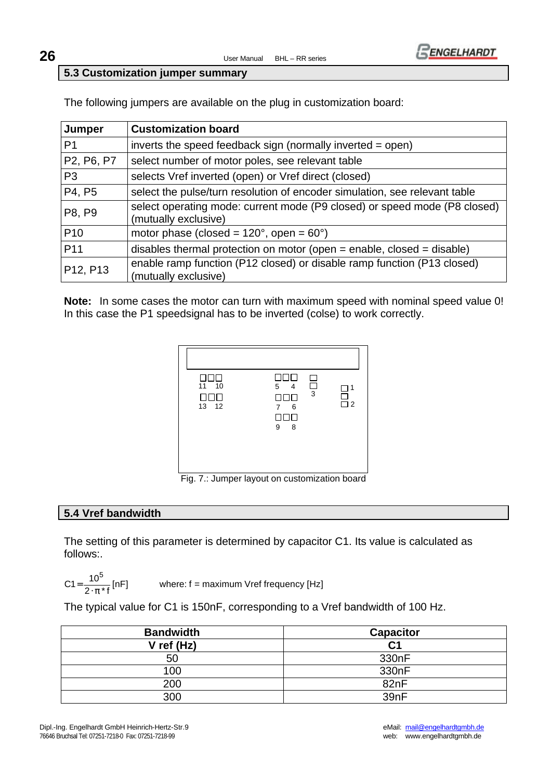



#### **5.3 Customization jumper summary**

The following jumpers are available on the plug in customization board:

| Jumper          | <b>Customization board</b>                                                                        |
|-----------------|---------------------------------------------------------------------------------------------------|
| P <sub>1</sub>  | inverts the speed feedback sign (normally inverted = open)                                        |
| P2, P6, P7      | select number of motor poles, see relevant table                                                  |
| P <sub>3</sub>  | selects Vref inverted (open) or Vref direct (closed)                                              |
| P4, P5          | select the pulse/turn resolution of encoder simulation, see relevant table                        |
| P8, P9          | select operating mode: current mode (P9 closed) or speed mode (P8 closed)<br>(mutually exclusive) |
| P <sub>10</sub> | motor phase (closed = $120^{\circ}$ , open = $60^{\circ}$ )                                       |
| P <sub>11</sub> | disables thermal protection on motor (open $=$ enable, closed $=$ disable)                        |
| P12, P13        | enable ramp function (P12 closed) or disable ramp function (P13 closed)<br>(mutually exclusive)   |

**Note:** In some cases the motor can turn with maximum speed with nominal speed value 0! In this case the P1 speedsignal has to be inverted (colse) to work correctly.



Fig. 7.: Jumper layout on customization board

#### **5.4 Vref bandwidth**

The setting of this parameter is determined by capacitor C1. Its value is calculated as follows:.

$$
C1 = \frac{10^5}{2 \cdot \pi * f} \text{ [nF]} \qquad \text{where: } f = \text{ma}
$$

ximum Vref frequency [Hz]

The typical value for C1 is 150nF, corresponding to a Vref bandwidth of 100 Hz.

| <b>Bandwidth</b> | <b>Capacitor</b>   |
|------------------|--------------------|
| $V$ ref (Hz)     | C1                 |
| 50               | 330 <sub>n</sub> F |
| 100              | 330 <sub>n</sub> F |
| 200              | 82nF               |
| 300              | 39nF               |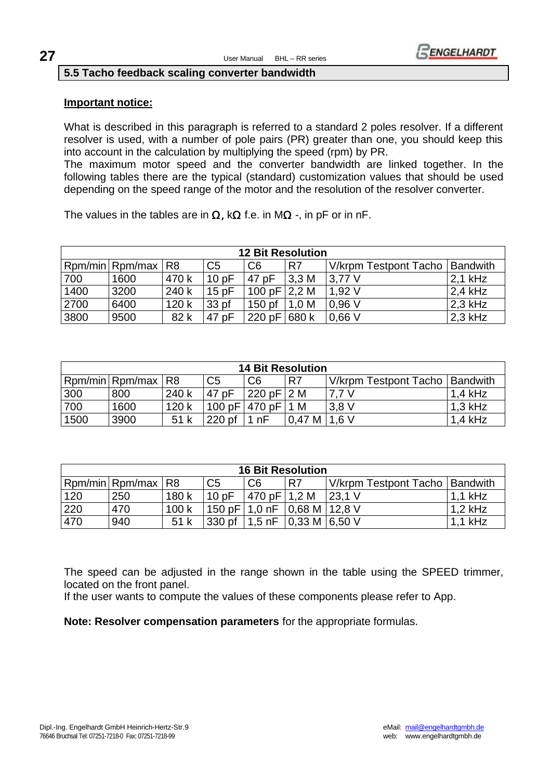

#### **5.5 Tacho feedback scaling converter bandwidth**

#### **Important notice:**

What is described in this paragraph is referred to a standard 2 poles resolver. If a different resolver is used, with a number of pole pairs (PR) greater than one, you should keep this into account in the calculation by multiplying the speed (rpm) by PR.

The maximum motor speed and the converter bandwidth are linked together. In the following tables there are the typical (standard) customization values that should be used depending on the speed range of the motor and the resolution of the resolver converter.

The values in the tables are in **W,** k**W** f.e. in M**W** -, in pF or in nF.

| <b>12 Bit Resolution</b> |                 |                |                  |                   |       |                                  |            |  |  |  |
|--------------------------|-----------------|----------------|------------------|-------------------|-------|----------------------------------|------------|--|--|--|
|                          | Rpm/min Rpm/max | R <sub>8</sub> | C <sub>5</sub>   | C <sub>6</sub>    | R7    | V/krpm Testpont Tacho   Bandwith |            |  |  |  |
| 700                      | 1600            | 470 k          | 10pF             | 47 pF             | 3.3M  | $13.77$ V                        | $12,1$ kHz |  |  |  |
| 1400                     | 3200            | 240 k          | 15pF             | 100 pF $ 2,2$ M   |       | 1,92V                            | $2.4$ kHz  |  |  |  |
| 2700                     | 6400            | 120k           | 33 <sub>pf</sub> | 150 <sub>pf</sub> | 1.0 M | 0.96V                            | $2.3$ kHz  |  |  |  |
| 3800                     | 9500            | 82 k           | 47 pF            | 220 pF            | 680 k | 0.66V                            | $12,3$ kHz |  |  |  |

| <b>14 Bit Resolution</b>                                                                         |      |       |          |                  |                |       |           |  |  |  |  |
|--------------------------------------------------------------------------------------------------|------|-------|----------|------------------|----------------|-------|-----------|--|--|--|--|
| Rpm/min Rpm/max R8<br>C <sub>6</sub><br>C <sub>5</sub><br>V/krpm Testpont Tacho   Bandwith<br>R7 |      |       |          |                  |                |       |           |  |  |  |  |
| 300                                                                                              | 800  | 240 k | 47 pF    | $ 220$ pF $ 2$ M |                | 7.7 V | $1.4$ kHz |  |  |  |  |
| 700                                                                                              | 1600 | 120k  |          | 100 pF 470 pF    | 1 M            | 3.8V  | $1.3$ kHz |  |  |  |  |
| 1500                                                                                             | 3900 | 51k   | $220$ pf | nF               | $0.47 M$ 1.6 V |       | $1.4$ kHz |  |  |  |  |

| <b>16 Bit Resolution</b>                                                                                        |     |       |        |                |                                                    |        |           |  |  |  |  |
|-----------------------------------------------------------------------------------------------------------------|-----|-------|--------|----------------|----------------------------------------------------|--------|-----------|--|--|--|--|
| Rpm/min Rpm/max<br>C <sub>6</sub><br>C <sub>5</sub><br>R <sub>8</sub><br>R7<br>V/krpm Testpont Tacho   Bandwith |     |       |        |                |                                                    |        |           |  |  |  |  |
| 120                                                                                                             | 250 | 180 k | 10pF   | 470 pF   1.2 M |                                                    | 23.1 V | $1.1$ kHz |  |  |  |  |
| 220                                                                                                             | 470 | 100k  |        |                | 150 pF   1,0 nF   0,68 M   12,8 V                  |        | $1.2$ kHz |  |  |  |  |
| 470                                                                                                             | 940 | 51 k  | 330 pf |                | 1,5 nF $\vert 0.33 \text{ M} \vert 6.50 \text{ V}$ |        | 1.1 kHz   |  |  |  |  |

The speed can be adjusted in the range shown in the table using the SPEED trimmer, located on the front panel.

If the user wants to compute the values of these components please refer to App.

**Note: Resolver compensation parameters** for the appropriate formulas.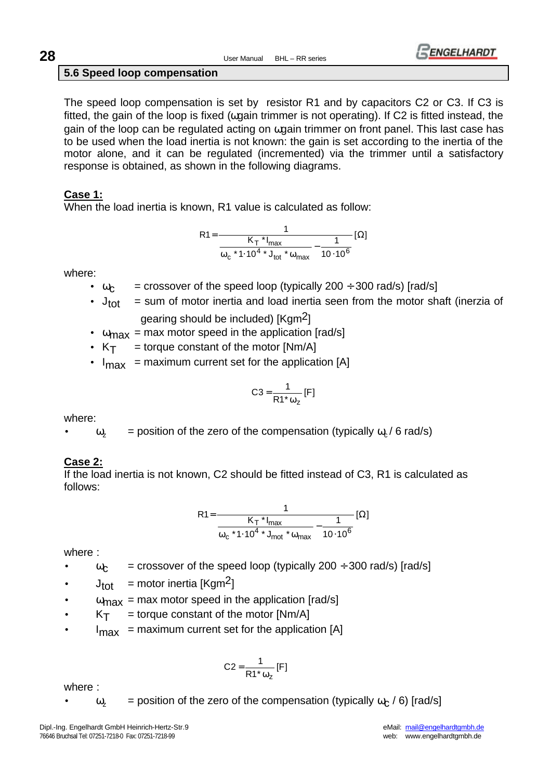**28** User Manual BHL – RR series



## **5.6 Speed loop compensation**

The speed loop compensation is set by resistor R1 and by capacitors C2 or C3. If C3 is fitted, the gain of the loop is fixed (ωgain trimmer is not operating). If C2 is fitted instead, the gain of the loop can be regulated acting on ωgain trimmer on front panel. This last case has to be used when the load inertia is not known: the gain is set according to the inertia of the motor alone, and it can be regulated (incremented) via the trimmer until a satisfactory response is obtained, as shown in the following diagrams.

## **Case 1:**

When the load inertia is known, R1 value is calculated as follow:

$$
R1 = \frac{1}{\frac{K_T * I_{\text{max}}}{\omega_c * 1.10^4 * J_{\text{tot}} * \omega_{\text{max}}} - \frac{1}{10.10^6}} [\Omega]
$$

where:

- $\omega_c$  = crossover of the speed loop (typically 200 ÷ 300 rad/s) [rad/s]
- $J_{\text{tot}}$  = sum of motor inertia and load inertia seen from the motor shaft (inerzia of

gearing should be included) [Kgm2]

- $\omega_{\text{max}}$  = max motor speed in the application [rad/s]
- $K_T$  = torque constant of the motor [Nm/A]
- $I_{\text{max}}$  = maximum current set for the application [A]

$$
C3 = \frac{1}{R1^* \omega_z} [F]
$$

where:

 $ω<sub>z</sub>$  = position of the zero of the compensation (typically  $ω<sub>c</sub>$  / 6 rad/s)

## **Case 2:**

If the load inertia is not known, C2 should be fitted instead of C3, R1 is calculated as follows:

$$
R1 = \frac{1}{\frac{K_T * I_{max}}{\omega_c * 1.10^4 * J_{max}} - \frac{1}{10.10^6}} [\Omega]
$$

where :

- $\omega_c$  = crossover of the speed loop (typically 200 ÷ 300 rad/s) [rad/s]
- $J_{\text{tot}}$  = motor inertia [Kgm<sup>2</sup>]
- $\omega_{\text{max}}$  = max motor speed in the application [rad/s]
- $K_T$  = torque constant of the motor  $[Nm/A]$
- $I_{\text{max}}$  = maximum current set for the application [A]

$$
C2 = \frac{1}{R1^* \omega_z} [F]
$$

where :

 $ω<sub>z</sub>$  = position of the zero of the compensation (typically  $ω<sub>c</sub>$  / 6) [rad/s]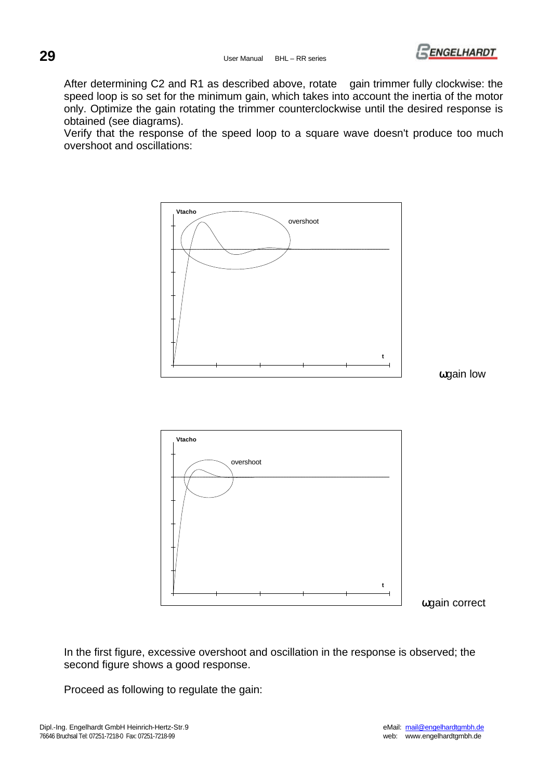

After determining C2 and R1 as described above, rotate gain trimmer fully clockwise: the speed loop is so set for the minimum gain, which takes into account the inertia of the motor only. Optimize the gain rotating the trimmer counterclockwise until the desired response is obtained (see diagrams).

Verify that the response of the speed loop to a square wave doesn't produce too much overshoot and oscillations:



In the first figure, excessive overshoot and oscillation in the response is observed; the second figure shows a good response.

Proceed as following to regulate the gain: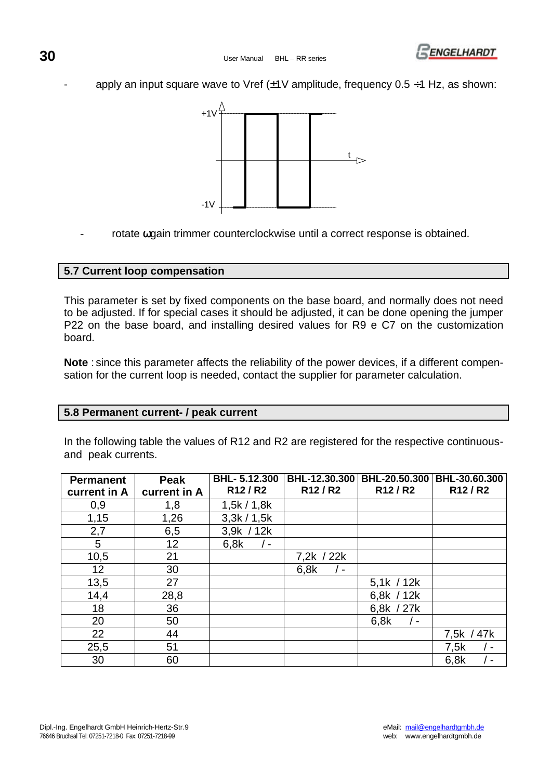

apply an input square wave to Vref  $(\pm 1)$  amplitude, frequency 0.5  $\div$ 1 Hz, as shown:



rotate wgain trimmer counterclockwise until a correct response is obtained.

## **5.7 Current loop compensation**

This parameter is set by fixed components on the base board, and normally does not need to be adjusted. If for special cases it should be adjusted, it can be done opening the jumper P22 on the base board, and installing desired values for R9 e C7 on the customization board.

**Note** : since this parameter affects the reliability of the power devices, if a different compensation for the current loop is needed, contact the supplier for parameter calculation.

#### **5.8 Permanent current- / peak current**

In the following table the values of R12 and R2 are registered for the respective continuousand peak currents.

| <b>Permanent</b> | Peak         | <b>BHL-5.12.300</b>             | BHL-12.30.300                   | BHL-20.50.300                   | BHL-30.60.300                   |
|------------------|--------------|---------------------------------|---------------------------------|---------------------------------|---------------------------------|
| current in A     | current in A | R <sub>12</sub> /R <sub>2</sub> | R <sub>12</sub> /R <sub>2</sub> | R <sub>12</sub> /R <sub>2</sub> | R <sub>12</sub> /R <sub>2</sub> |
| 0,9              | 1,8          | 1,5k/1,8k                       |                                 |                                 |                                 |
| 1,15             | 1,26         | 3,3k/1,5k                       |                                 |                                 |                                 |
| 2,7              | 6,5          | 3,9k / 12k                      |                                 |                                 |                                 |
| 5                | 12           | 6.8k<br>$\prime$ -              |                                 |                                 |                                 |
| 10,5             | 21           |                                 | 7,2k / 22k                      |                                 |                                 |
| 12 <sub>2</sub>  | 30           |                                 | 6,8k<br>$\blacksquare$          |                                 |                                 |
| 13,5             | 27           |                                 |                                 | 5,1k / 12k                      |                                 |
| 14,4             | 28,8         |                                 |                                 | 6,8 $k / 12k$                   |                                 |
| 18               | 36           |                                 |                                 | 6,8k / 27k                      |                                 |
| 20               | 50           |                                 |                                 | 6,8k<br>$-$                     |                                 |
| 22               | 44           |                                 |                                 |                                 | 7,5k / 47k                      |
| 25,5             | 51           |                                 |                                 |                                 | 7,5k<br>- ا                     |
| 30               | 60           |                                 |                                 |                                 | 6,8k<br><u>. на та</u>          |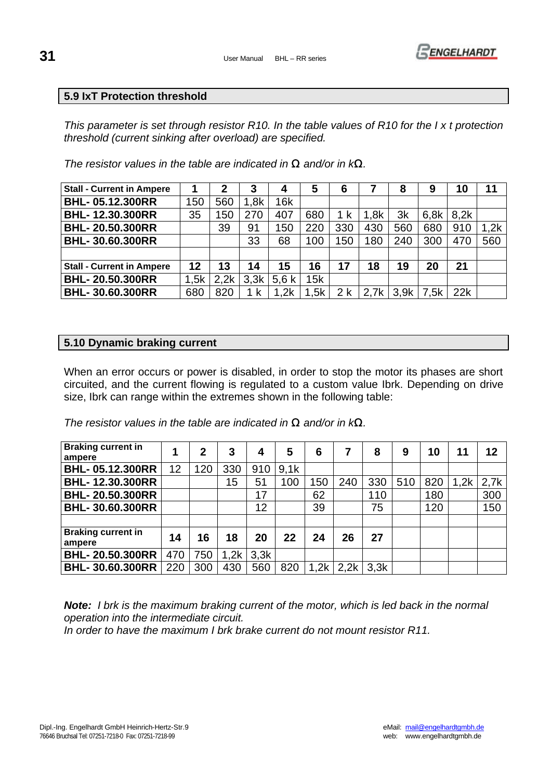

## **5.9 IxT Protection threshold**

*This parameter is set through resistor R10. In the table values of R10 for the I x t protection threshold (current sinking after overload) are specified.* 

*The resistor values in the table are indicated in W and/or in kW.*

| <b>Stall - Current in Ampere</b> |      |      | 3    |      | 5    | 6   |      | 8    | 9    | 10   | 11   |
|----------------------------------|------|------|------|------|------|-----|------|------|------|------|------|
| <b>BHL-05.12.300RR</b>           | 150  | 560  | 1,8k | 16k  |      |     |      |      |      |      |      |
| <b>BHL-12.30.300RR</b>           | 35   | 150  | 270  | 407  | 680  | 1 k | 1.8k | 3k   | 6.8k | 8.2k |      |
| <b>BHL-20.50.300RR</b>           |      | 39   | 91   | 150  | 220  | 330 | 430  | 560  | 680  | 910  | 1,2k |
| <b>BHL-30.60.300RR</b>           |      |      | 33   | 68   | 100  | 150 | 180  | 240  | 300  | 470  | 560  |
|                                  |      |      |      |      |      |     |      |      |      |      |      |
| <b>Stall - Current in Ampere</b> | 12   | 13   | 14   | 15   | 16   | 17  | 18   | 19   | 20   | 21   |      |
| <b>BHL-20.50.300RR</b>           | 1,5k | 2,2k | 3,3k | 5.6k | 15k  |     |      |      |      |      |      |
| <b>BHL-30.60.300RR</b>           | 680  | 820  | 1 k  | 1,2k | 1,5k | 2 k | 2.7k | 3.9k | 7.5k | 22k  |      |

## **5.10 Dynamic braking current**

When an error occurs or power is disabled, in order to stop the motor its phases are short circuited, and the current flowing is regulated to a custom value Ibrk. Depending on drive size, Ibrk can range within the extremes shown in the following table:

*The resistor values in the table are indicated in W and/or in kW.*

| <b>Braking current in</b><br>ampere |     | 2   | 3    | 4    | 5    | 6               |      | 8    | 9   | 10  | 11   | 12   |
|-------------------------------------|-----|-----|------|------|------|-----------------|------|------|-----|-----|------|------|
| <b>BHL-05.12.300RR</b>              | 12  | 120 | 330  | 910  | 9,1k |                 |      |      |     |     |      |      |
| <b>BHL-12.30.300RR</b>              |     |     | 15   | 51   | 100  | 50 <sub>0</sub> | 240  | 330  | 510 | 820 | 1,2k | 2,7k |
| <b>BHL-20.50.300RR</b>              |     |     |      | 17   |      | 62              |      | 110  |     | 180 |      | 300  |
| <b>BHL-30.60.300RR</b>              |     |     |      | 12   |      | 39              |      | 75   |     | 120 |      | 150  |
|                                     |     |     |      |      |      |                 |      |      |     |     |      |      |
| <b>Braking current in</b><br>ampere | 14  | 16  | 18   | 20   | 22   | 24              | 26   | 27   |     |     |      |      |
| <b>BHL-20.50.300RR</b>              | 470 | 750 | 1,2k | 3.3k |      |                 |      |      |     |     |      |      |
| <b>BHL-30.60.300RR</b>              | 220 | 300 | 430  | 560  | 820  | .2k             | 2.2k | 3.3k |     |     |      |      |

*Note: I brk is the maximum braking current of the motor, which is led back in the normal operation into the intermediate circuit.* 

*In order to have the maximum I brk brake current do not mount resistor R11.*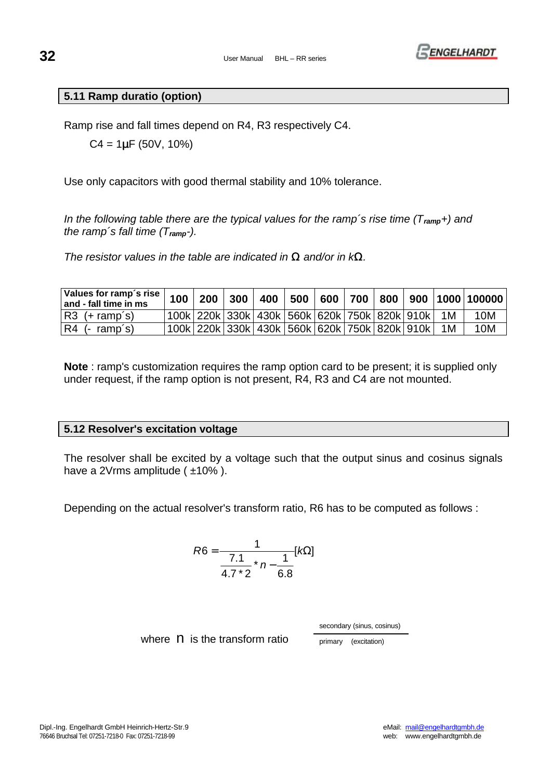

## **5.11 Ramp duratio (option)**

Ramp rise and fall times depend on R4, R3 respectively C4.

C4 = 1**m**F (50V, 10%)

Use only capacitors with good thermal stability and 10% tolerance.

*In the following table there are the typical values for the ramp's rise time (T<sub>ramp</sub>+) and the ramp´s fall time (Tramp-).* 

*The resistor values in the table are indicated in W and/or in kW.*

| Values for ramp's rise<br>and - fall time in ms | 100 | 200 <sub>1</sub> |                                                 |  |  |  | $300   400   500   600   700   800   900   1000   100000$ |
|-------------------------------------------------|-----|------------------|-------------------------------------------------|--|--|--|-----------------------------------------------------------|
| $ R3$ (+ ramp's)                                |     |                  | 100k 220k 330k 430k 560k 620k 750k 820k 910k 1M |  |  |  | 10M                                                       |
| $ R4$ (- ramp's)                                |     |                  | 100k 220k 330k 430k 560k 620k 750k 820k 910k 1M |  |  |  | 10M                                                       |

**Note** : ramp's customization requires the ramp option card to be present; it is supplied only under request, if the ramp option is not present, R4, R3 and C4 are not mounted.

#### **5.12 Resolver's excitation voltage**

The resolver shall be excited by a voltage such that the output sinus and cosinus signals have a 2Vrms amplitude ( $\pm$ 10%).

Depending on the actual resolver's transform ratio, R6 has to be computed as follows :

$$
R6 = \frac{1}{\frac{7.1}{4.7 \times 2} \times n - \frac{1}{6.8}} [k\Omega]
$$

secondary (sinus, cosinus)

where  $\overline{\mathsf{n}}$  is the transform ratio  $\overline{\mathsf{p}}$  primary (excitation)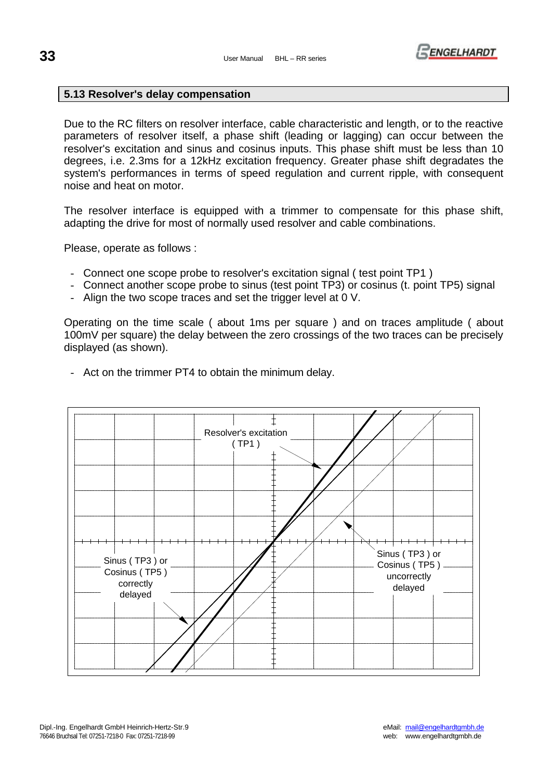

## **5.13 Resolver's delay compensation**

Due to the RC filters on resolver interface, cable characteristic and length, or to the reactive parameters of resolver itself, a phase shift (leading or lagging) can occur between the resolver's excitation and sinus and cosinus inputs. This phase shift must be less than 10 degrees, i.e. 2.3ms for a 12kHz excitation frequency. Greater phase shift degradates the system's performances in terms of speed regulation and current ripple, with consequent noise and heat on motor.

The resolver interface is equipped with a trimmer to compensate for this phase shift, adapting the drive for most of normally used resolver and cable combinations.

Please, operate as follows :

- Connect one scope probe to resolver's excitation signal ( test point TP1 )
- Connect another scope probe to sinus (test point TP3) or cosinus (t. point TP5) signal
- Align the two scope traces and set the trigger level at 0 V.

Operating on the time scale ( about 1ms per square ) and on traces amplitude ( about 100mV per square) the delay between the zero crossings of the two traces can be precisely displayed (as shown).



- Act on the trimmer PT4 to obtain the minimum delay.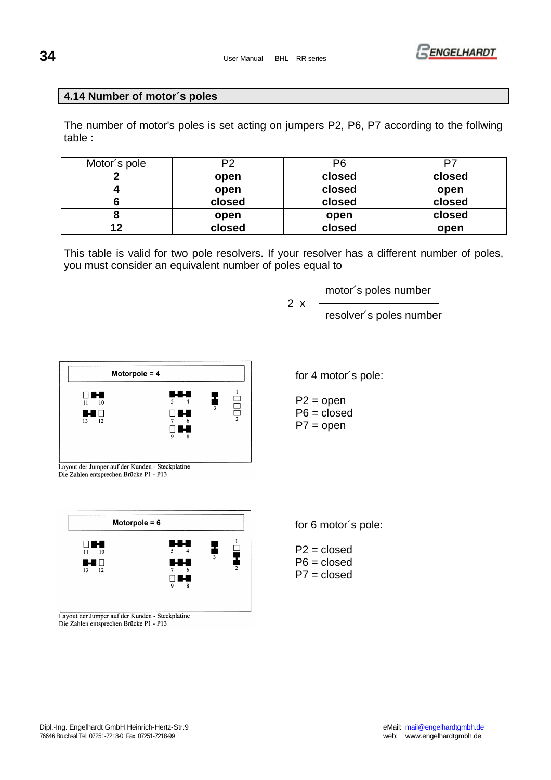

## **4.14 Number of motor´s poles**

The number of motor's poles is set acting on jumpers P2, P6, P7 according to the follwing table :

| Motor's pole | P2     | P <sub>6</sub> |        |
|--------------|--------|----------------|--------|
|              | open   | closed         | closed |
|              | open   | closed         | open   |
|              | closed | closed         | closed |
|              | open   | open           | closed |
|              | closed | closed         | open   |

This table is valid for two pole resolvers. If your resolver has a different number of poles, you must consider an equivalent number of poles equal to

2 x

motor´s poles number

resolver´s poles number



for 4 motor´s pole:

for 6 motor´s pole:

P2 = closed P6 = closed P7 = closed

 $P2 = open$  $P6 = closed$  $P7 = open$ 

Layout der Jumper auf der Kunden - Steckplatine Die Zahlen entsprechen Brücke P1 - P13



Die Zahlen entsprechen Brücke P1 - P13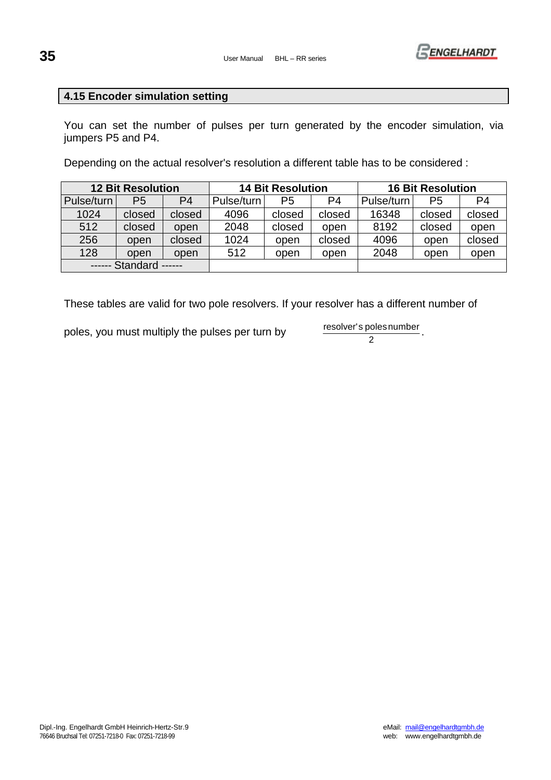

## **4.15 Encoder simulation setting**

You can set the number of pulses per turn generated by the encoder simulation, via jumpers P5 and P4.

Depending on the actual resolver's resolution a different table has to be considered :

| <b>12 Bit Resolution</b> |                |                | <b>14 Bit Resolution</b> |        |        | <b>16 Bit Resolution</b> |        |        |
|--------------------------|----------------|----------------|--------------------------|--------|--------|--------------------------|--------|--------|
| Pulse/turn               | P <sub>5</sub> | P <sub>4</sub> | Pulse/turn               | P5     | P4     | Pulse/turn               | P5     | P4     |
| 1024                     | closed         | closed         | 4096                     | closed | closed | 16348                    | closed | closed |
| 512                      | closed         | open           | 2048                     | closed | open   | 8192                     | closed | open   |
| 256                      | open           | closed         | 1024                     | open   | closed | 4096                     | open   | closed |
| 128                      | open           | open           | 512                      | open   | open   | 2048                     | open   | open   |
| ------ Standard ------   |                |                |                          |        |        |                          |        |        |

These tables are valid for two pole resolvers. If your resolver has a different number of

poles, you must multiply the pulses per turn by resolver's poles number

 $\overline{2}$ .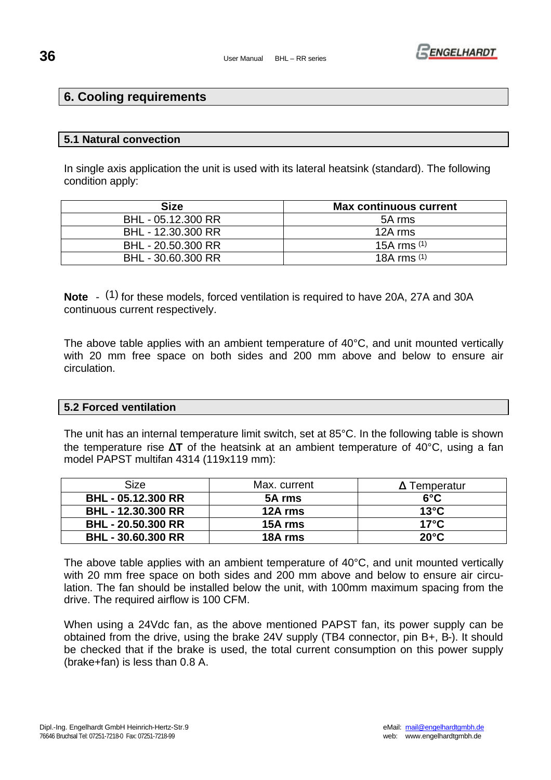

## **6. Cooling requirements**

## **5.1 Natural convection**

In single axis application the unit is used with its lateral heatsink (standard). The following condition apply:

| <b>Size</b>        | <b>Max continuous current</b> |
|--------------------|-------------------------------|
| BHL - 05.12.300 RR | 5A rms                        |
| BHL - 12.30.300 RR | 12A rms                       |
| BHL - 20.50.300 RR | 15A rms $(1)$                 |
| BHL - 30.60.300 RR | 18A rms $(1)$                 |

**Note** - (1) for these models, forced ventilation is required to have 20A, 27A and 30A continuous current respectively.

The above table applies with an ambient temperature of 40°C, and unit mounted vertically with 20 mm free space on both sides and 200 mm above and below to ensure air circulation.

## **5.2 Forced ventilation**

The unit has an internal temperature limit switch, set at 85°C. In the following table is shown the temperature rise **DT** of the heatsink at an ambient temperature of 40°C, using a fan model PAPST multifan 4314 (119x119 mm):

| Size                      | Max. current | <b>D</b> Temperatur |
|---------------------------|--------------|---------------------|
| <b>BHL - 05.12.300 RR</b> | 5A rms       | $6^{\circ}$ C       |
| <b>BHL - 12.30.300 RR</b> | 12A rms      | $13^{\circ}$ C      |
| <b>BHL - 20.50.300 RR</b> | 15A rms      | $17^\circ$ C        |
| <b>BHL - 30.60.300 RR</b> | 18A rms      | $20^{\circ}$ C      |

The above table applies with an ambient temperature of 40°C, and unit mounted vertically with 20 mm free space on both sides and 200 mm above and below to ensure air circulation. The fan should be installed below the unit, with 100mm maximum spacing from the drive. The required airflow is 100 CFM.

When using a 24Vdc fan, as the above mentioned PAPST fan, its power supply can be obtained from the drive, using the brake 24V supply (TB4 connector, pin B+, B-). It should be checked that if the brake is used, the total current consumption on this power supply (brake+fan) is less than 0.8 A.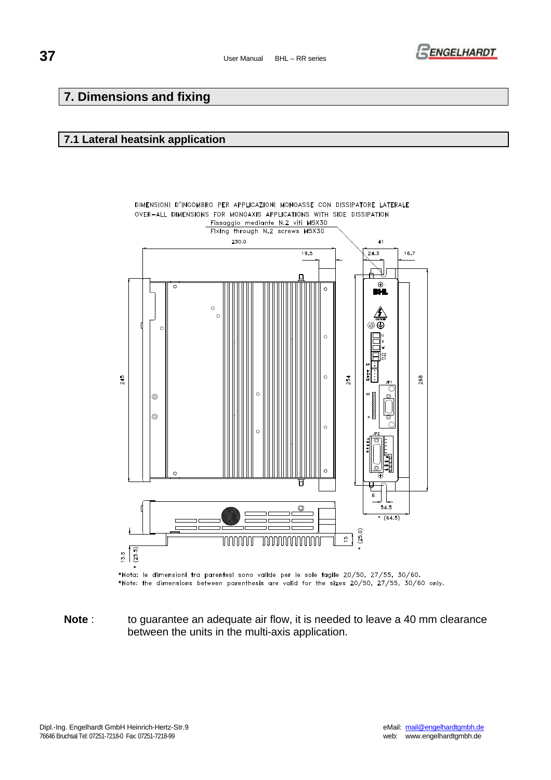

## **7. Dimensions and fixing**

#### **7.1 Lateral heatsink application**



\*Nota: le dimensioni tra parentesi sono valide per le sole taglie 20/50, 27/55, 30/60. \*Note: the dimensions between parenthesis are valid for the sizes 20/50, 27/55, 30/60 only.

**Note** : to guarantee an adequate air flow, it is needed to leave a 40 mm clearance between the units in the multi-axis application.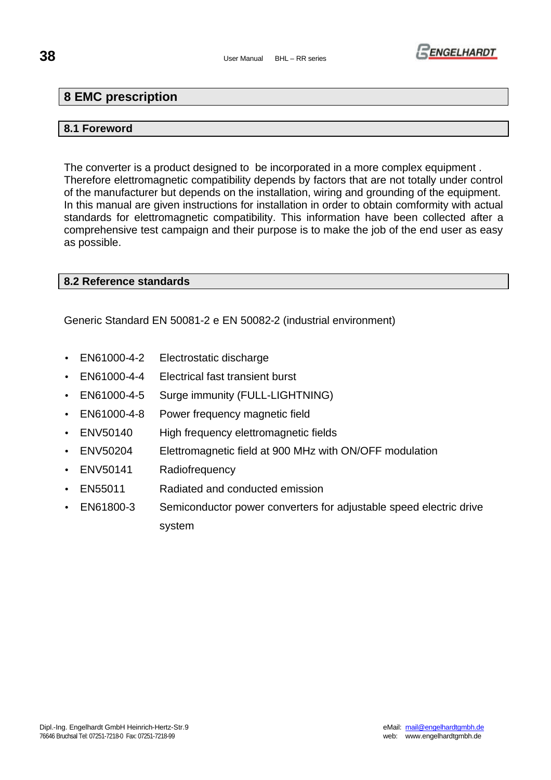## **38** User Manual BHL – RR series



## **8 EMC prescription**

## **8.1 Foreword**

The converter is a product designed to be incorporated in a more complex equipment . Therefore elettromagnetic compatibility depends by factors that are not totally under control of the manufacturer but depends on the installation, wiring and grounding of the equipment. In this manual are given instructions for installation in order to obtain comformity with actual standards for elettromagnetic compatibility. This information have been collected after a comprehensive test campaign and their purpose is to make the job of the end user as easy as possible.

## **8.2 Reference standards**

Generic Standard EN 50081-2 e EN 50082-2 (industrial environment)

- EN61000-4-2 Electrostatic discharge
- EN61000-4-4 Electrical fast transient burst
- EN61000-4-5 Surge immunity (FULL-LIGHTNING)
- EN61000-4-8 Power frequency magnetic field
- ENV50140 High frequency elettromagnetic fields
- ENV50204 Elettromagnetic field at 900 MHz with ON/OFF modulation
- ENV50141 Radiofrequency
- EN55011 Radiated and conducted emission
- EN61800-3 Semiconductor power converters for adjustable speed electric drive system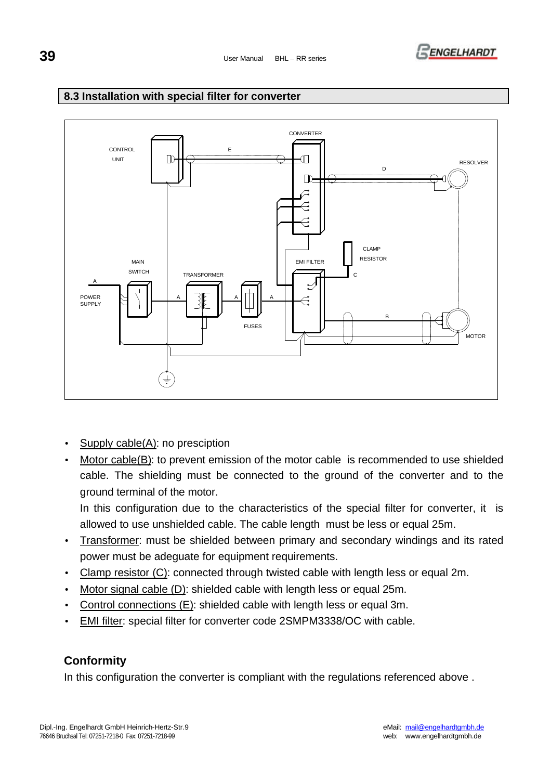

## **8.3 Installation with special filter for converter**



- Supply cable(A): no presciption
- Motor cable(B): to prevent emission of the motor cable is recommended to use shielded cable. The shielding must be connected to the ground of the converter and to the ground terminal of the motor.

In this configuration due to the characteristics of the special filter for converter, it is allowed to use unshielded cable. The cable length must be less or equal 25m.

- Transformer: must be shielded between primary and secondary windings and its rated power must be adeguate for equipment requirements.
- Clamp resistor (C): connected through twisted cable with length less or equal 2m.
- Motor signal cable (D): shielded cable with length less or equal 25m.
- Control connections (E): shielded cable with length less or equal 3m.
- EMI filter: special filter for converter code 2SMPM3338/OC with cable.

## **Conformity**

In this configuration the converter is compliant with the regulations referenced above.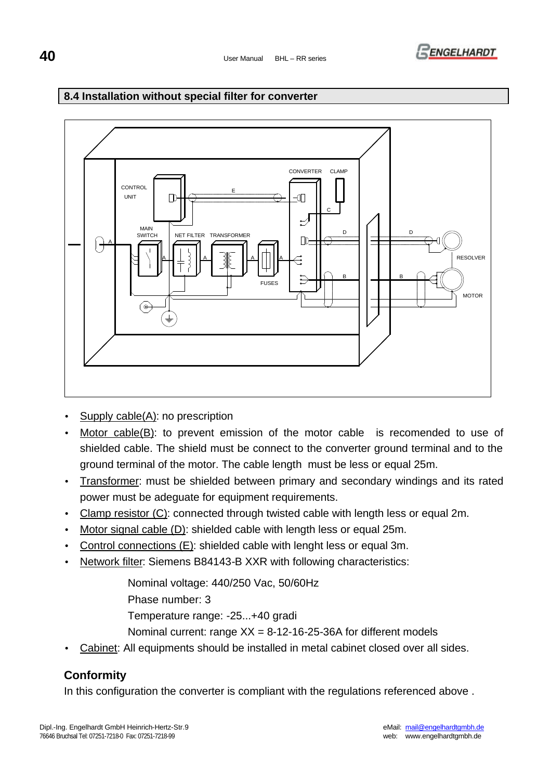

## **8.4 Installation without special filter for converter**



- Supply  $cable(A)$ : no prescription
- Motor cable(B): to prevent emission of the motor cable is recomended to use of shielded cable. The shield must be connect to the converter ground terminal and to the ground terminal of the motor. The cable length must be less or equal 25m.
- Transformer: must be shielded between primary and secondary windings and its rated power must be adeguate for equipment requirements.
- Clamp resistor (C): connected through twisted cable with length less or equal 2m.
- Motor signal cable (D): shielded cable with length less or equal 25m.
- Control connections (E): shielded cable with lenght less or equal 3m.
- Network filter: Siemens B84143-B XXR with following characteristics:

Nominal voltage: 440/250 Vac, 50/60Hz

Phase number: 3

Temperature range: -25...+40 gradi

Nominal current: range XX = 8-12-16-25-36A for different models

• Cabinet: All equipments should be installed in metal cabinet closed over all sides.

## **Conformity**

In this configuration the converter is compliant with the regulations referenced above.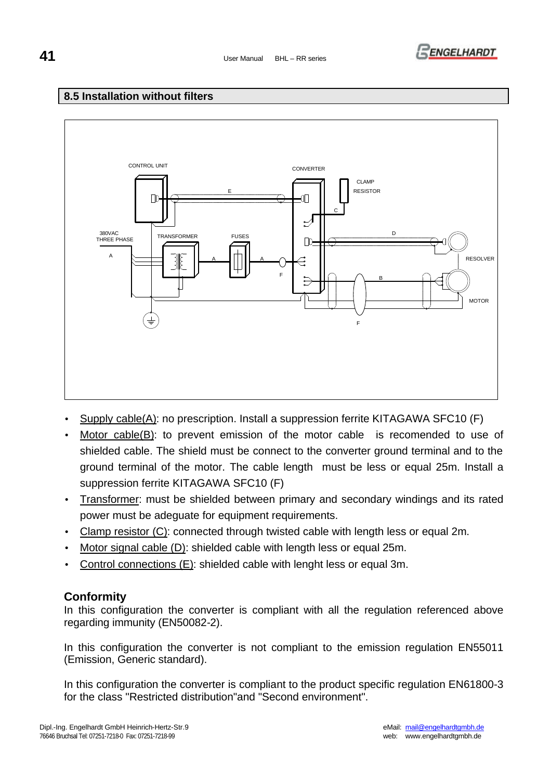

## **8.5 Installation without filters**



- Supply cable(A): no prescription. Install a suppression ferrite KITAGAWA SFC10 (F)
- Motor cable(B): to prevent emission of the motor cable is recomended to use of shielded cable. The shield must be connect to the converter ground terminal and to the ground terminal of the motor. The cable length must be less or equal 25m. Install a suppression ferrite KITAGAWA SFC10 (F)
- Transformer: must be shielded between primary and secondary windings and its rated power must be adeguate for equipment requirements.
- Clamp resistor (C): connected through twisted cable with length less or equal 2m.
- Motor signal cable (D): shielded cable with length less or equal 25m.
- Control connections (E): shielded cable with lenght less or equal 3m.

## **Conformity**

In this configuration the converter is compliant with all the regulation referenced above regarding immunity (EN50082-2).

In this configuration the converter is not compliant to the emission regulation EN55011 (Emission, Generic standard).

In this configuration the converter is compliant to the product specific regulation EN61800-3 for the class "Restricted distribution"and "Second environment".